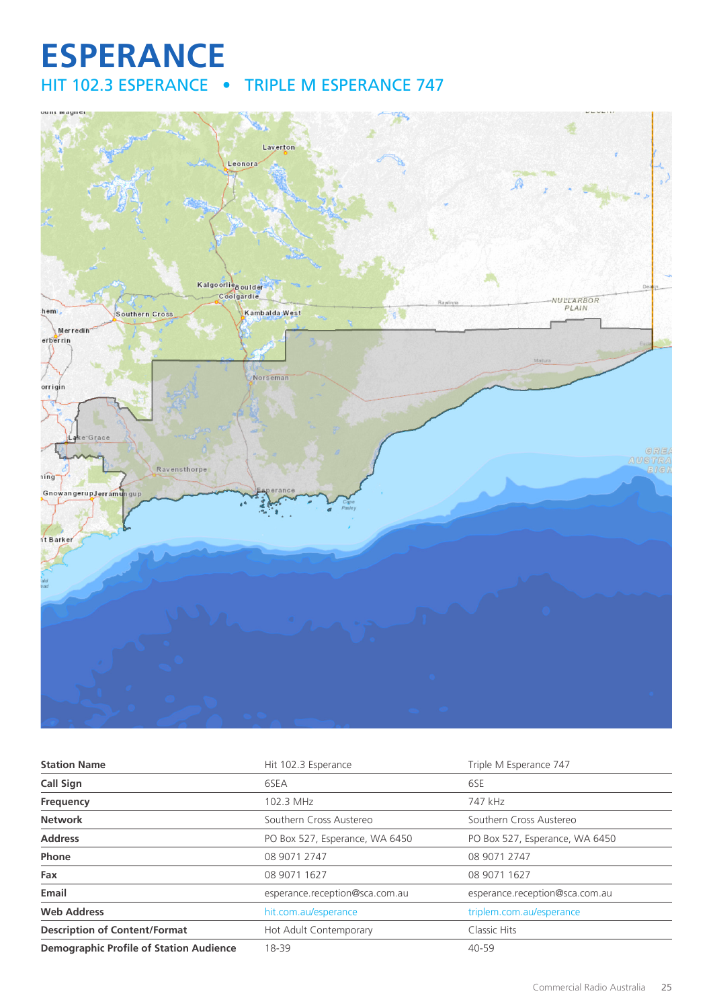# **ESPERANCE** HIT 102.3 ESPERANCE • TRIPLE M ESPERANCE 747



| <b>Station Name</b>                            | Hit 102.3 Esperance            | Triple M Esperance 747         |
|------------------------------------------------|--------------------------------|--------------------------------|
| Call Sign                                      | 6SEA                           | 6SE                            |
| Frequency                                      | 102.3 MHz                      | 747 kHz                        |
| <b>Network</b>                                 | Southern Cross Austereo        | Southern Cross Austereo        |
| <b>Address</b>                                 | PO Box 527, Esperance, WA 6450 | PO Box 527, Esperance, WA 6450 |
| Phone                                          | 08 9071 2747                   | 08 9071 2747                   |
| Fax                                            | 08 9071 1627                   | 08 9071 1627                   |
| Email                                          | esperance.reception@sca.com.au | esperance.reception@sca.com.au |
| <b>Web Address</b>                             | hit.com.au/esperance           | triplem.com.au/esperance       |
| <b>Description of Content/Format</b>           | Hot Adult Contemporary         | Classic Hits                   |
| <b>Demographic Profile of Station Audience</b> | 18-39                          | $40 - 59$                      |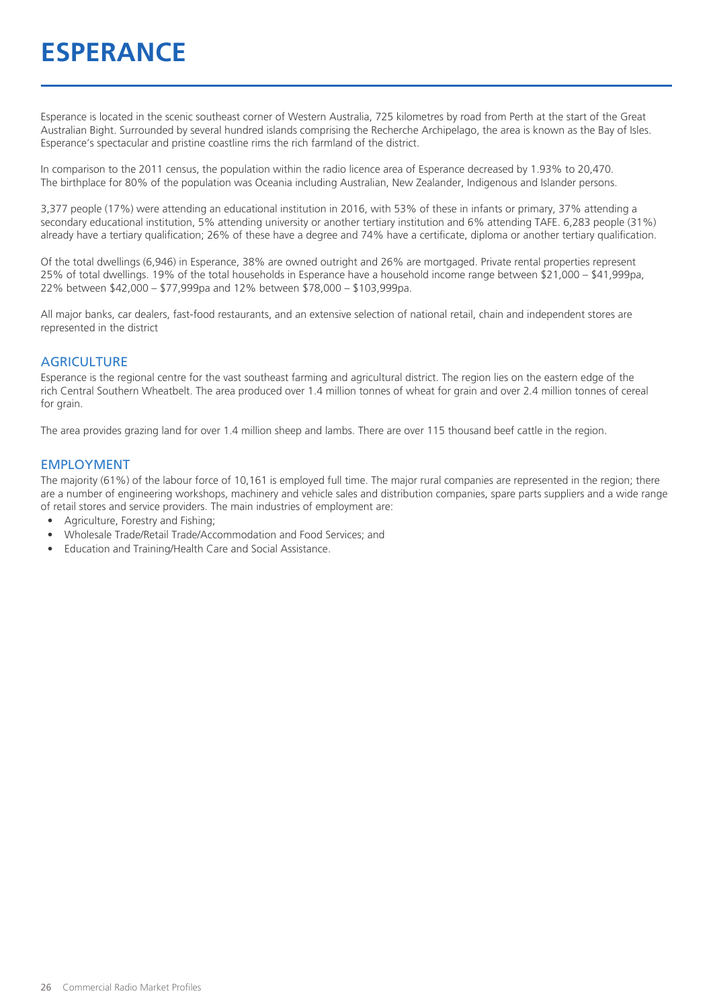# **ESPERANCE**

Esperance is located in the scenic southeast corner of Western Australia, 725 kilometres by road from Perth at the start of the Great Australian Bight. Surrounded by several hundred islands comprising the Recherche Archipelago, the area is known as the Bay of Isles. Esperance's spectacular and pristine coastline rims the rich farmland of the district.

In comparison to the 2011 census, the population within the radio licence area of Esperance decreased by 1.93% to 20,470. The birthplace for 80% of the population was Oceania including Australian, New Zealander, Indigenous and Islander persons.

3,377 people (17%) were attending an educational institution in 2016, with 53% of these in infants or primary, 37% attending a secondary educational institution, 5% attending university or another tertiary institution and 6% attending TAFE. 6,283 people (31%) already have a tertiary qualification; 26% of these have a degree and 74% have a certificate, diploma or another tertiary qualification.

Of the total dwellings (6,946) in Esperance, 38% are owned outright and 26% are mortgaged. Private rental properties represent 25% of total dwellings. 19% of the total households in Esperance have a household income range between \$21,000 – \$41,999pa, 22% between \$42,000 – \$77,999pa and 12% between \$78,000 – \$103,999pa.

All major banks, car dealers, fast-food restaurants, and an extensive selection of national retail, chain and independent stores are represented in the district

#### **AGRICULTURE**

Esperance is the regional centre for the vast southeast farming and agricultural district. The region lies on the eastern edge of the rich Central Southern Wheatbelt. The area produced over 1.4 million tonnes of wheat for grain and over 2.4 million tonnes of cereal for grain.

The area provides grazing land for over 1.4 million sheep and lambs. There are over 115 thousand beef cattle in the region.

#### EMPLOYMENT

The majority (61%) of the labour force of 10,161 is employed full time. The major rural companies are represented in the region; there are a number of engineering workshops, machinery and vehicle sales and distribution companies, spare parts suppliers and a wide range of retail stores and service providers. The main industries of employment are:

- Agriculture, Forestry and Fishing;
- Wholesale Trade/Retail Trade/Accommodation and Food Services; and
- Education and Training/Health Care and Social Assistance.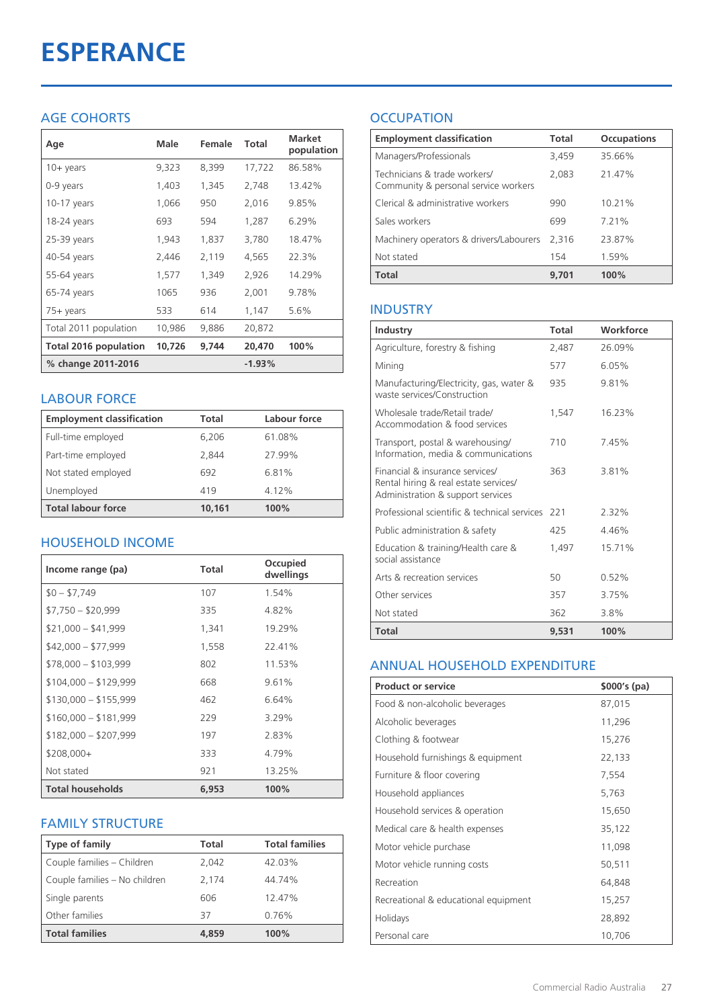# **ESPERANCE**

# AGE COHORTS

| Age                   | Male   | Female | Total    | <b>Market</b><br>population |
|-----------------------|--------|--------|----------|-----------------------------|
| 10+ years             | 9,323  | 8,399  | 17,722   | 86.58%                      |
| 0-9 years             | 1,403  | 1,345  | 2,748    | 13.42%                      |
| $10-17$ years         | 1,066  | 950    | 2,016    | 9.85%                       |
| 18-24 years           | 693    | 594    | 1,287    | 6.29%                       |
| 25-39 years           | 1,943  | 1,837  | 3,780    | 18.47%                      |
| 40-54 years           | 2,446  | 2,119  | 4,565    | 22.3%                       |
| 55-64 years           | 1,577  | 1,349  | 2,926    | 14.29%                      |
| 65-74 years           | 1065   | 936    | 2,001    | 9.78%                       |
| 75+ years             | 533    | 614    | 1,147    | 5.6%                        |
| Total 2011 population | 10,986 | 9,886  | 20,872   |                             |
| Total 2016 population | 10,726 | 9,744  | 20,470   | 100%                        |
| % change 2011-2016    |        |        | $-1.93%$ |                             |

## LABOUR FORCE

| <b>Employment classification</b> | Total  | Labour force |
|----------------------------------|--------|--------------|
| Full-time employed               | 6,206  | 61.08%       |
| Part-time employed               | 2.844  | 27.99%       |
| Not stated employed              | 692    | 6.81%        |
| Unemployed                       | 419    | 4.12%        |
| <b>Total labour force</b>        | 10.161 | 100%         |

# HOUSEHOLD INCOME

| Income range (pa)       | <b>Total</b> | Occupied<br>dwellings |
|-------------------------|--------------|-----------------------|
| $$0 - $7,749$           | 107          | 1.54%                 |
| $$7,750 - $20,999$      | 335          | 4.82%                 |
| $$21,000 - $41,999$     | 1,341        | 19.29%                |
| $$42,000 - $77,999$     | 1,558        | 22.41%                |
| $$78,000 - $103,999$    | 802          | 11.53%                |
| $$104,000 - $129,999$   | 668          | 9.61%                 |
| $$130,000 - $155,999$   | 462          | 6.64%                 |
| $$160,000 - $181,999$   | 229          | 3.29%                 |
| $$182,000 - $207,999$   | 197          | 2.83%                 |
| $$208,000+$             | 333          | 4.79%                 |
| Not stated              | 921          | 13.25%                |
| <b>Total households</b> | 6,953        | 100%                  |

# FAMILY STRUCTURE

| <b>Type of family</b>         | <b>Total</b> | <b>Total families</b> |
|-------------------------------|--------------|-----------------------|
| Couple families - Children    | 2.042        | 42.03%                |
| Couple families - No children | 2.174        | 44.74%                |
| Single parents                | 606          | 12.47%                |
| Other families                | 37           | 0.76%                 |
| <b>Total families</b>         | 4,859        | 100%                  |

# **OCCUPATION**

| <b>Employment classification</b>                                     | <b>Total</b> | <b>Occupations</b> |
|----------------------------------------------------------------------|--------------|--------------------|
| Managers/Professionals                                               | 3,459        | 35.66%             |
| Technicians & trade workers/<br>Community & personal service workers | 2,083        | 21.47%             |
| Clerical & administrative workers                                    | 990          | 10.21%             |
| Sales workers                                                        | 699          | 7.21%              |
| Machinery operators & drivers/Labourers                              | 2.316        | 23.87%             |
| Not stated                                                           | 154          | 1.59%              |
| <b>Total</b>                                                         | 9,701        | 100%               |

## INDUSTRY

| Industry                                                                                                      | Total | Workforce |
|---------------------------------------------------------------------------------------------------------------|-------|-----------|
| Agriculture, forestry & fishing                                                                               | 2,487 | 26.09%    |
| Mining                                                                                                        | 577   | 6.05%     |
| Manufacturing/Electricity, gas, water &<br>waste services/Construction                                        | 935   | 9.81%     |
| Wholesale trade/Retail trade/<br>Accommodation & food services                                                | 1.547 | 16.23%    |
| Transport, postal & warehousing/<br>Information, media & communications                                       | 710   | 7.45%     |
| Financial & insurance services/<br>Rental hiring & real estate services/<br>Administration & support services | 363   | 3.81%     |
| Professional scientific & technical services                                                                  | 221   | 2.32%     |
| Public administration & safety                                                                                | 425   | 446%      |
| Education & training/Health care &<br>social assistance                                                       | 1,497 | 15.71%    |
| Arts & recreation services                                                                                    | 50    | 0.52%     |
| Other services                                                                                                | 357   | 3.75%     |
| Not stated                                                                                                    | 362   | 3.8%      |
| Total                                                                                                         | 9.531 | 100%      |

#### ANNUAL HOUSEHOLD EXPENDITURE

| <b>Product or service</b>            | $$000's$ (pa) |
|--------------------------------------|---------------|
| Food & non-alcoholic beverages       | 87,015        |
| Alcoholic beverages                  | 11,296        |
| Clothing & footwear                  | 15,276        |
| Household furnishings & equipment    | 22,133        |
| Furniture & floor covering           | 7,554         |
| Household appliances                 | 5,763         |
| Household services & operation       | 15,650        |
| Medical care & health expenses       | 35,122        |
| Motor vehicle purchase               | 11,098        |
| Motor vehicle running costs          | 50,511        |
| Recreation                           | 64,848        |
| Recreational & educational equipment | 15,257        |
| Holidays                             | 28,892        |
| Personal care                        | 10,706        |